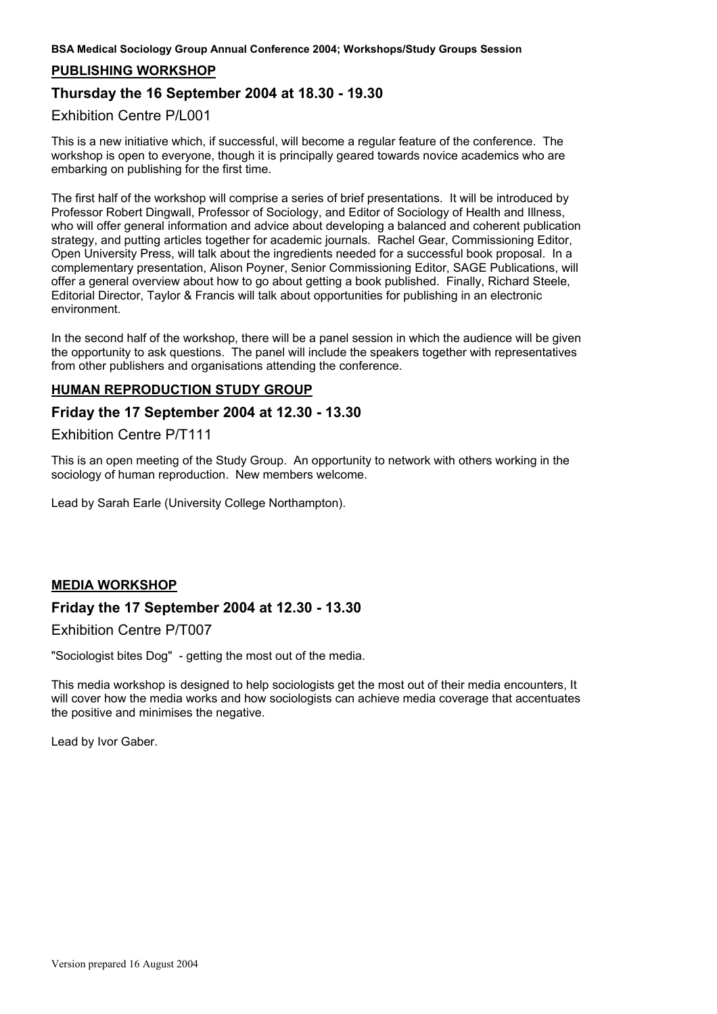**BSA Medical Sociology Group Annual Conference 2004; Workshops/Study Groups Session**

## **PUBLISHING WORKSHOP**

# **Thursday the 16 September 2004 at 18.30 - 19.30**

## Exhibition Centre P/L001

This is a new initiative which, if successful, will become a regular feature of the conference. The workshop is open to everyone, though it is principally geared towards novice academics who are embarking on publishing for the first time.

The first half of the workshop will comprise a series of brief presentations. It will be introduced by Professor Robert Dingwall, Professor of Sociology, and Editor of Sociology of Health and Illness, who will offer general information and advice about developing a balanced and coherent publication strategy, and putting articles together for academic journals. Rachel Gear, Commissioning Editor, Open University Press, will talk about the ingredients needed for a successful book proposal. In a complementary presentation, Alison Poyner, Senior Commissioning Editor, SAGE Publications, will offer a general overview about how to go about getting a book published. Finally, Richard Steele, Editorial Director, Taylor & Francis will talk about opportunities for publishing in an electronic environment.

In the second half of the workshop, there will be a panel session in which the audience will be given the opportunity to ask questions. The panel will include the speakers together with representatives from other publishers and organisations attending the conference.

## **HUMAN REPRODUCTION STUDY GROUP**

## **Friday the 17 September 2004 at 12.30 - 13.30**

### Exhibition Centre P/T111

This is an open meeting of the Study Group. An opportunity to network with others working in the sociology of human reproduction. New members welcome.

Lead by Sarah Earle (University College Northampton).

## **MEDIA WORKSHOP**

## **Friday the 17 September 2004 at 12.30 - 13.30**

Exhibition Centre P/T007

"Sociologist bites Dog" - getting the most out of the media.

This media workshop is designed to help sociologists get the most out of their media encounters, It will cover how the media works and how sociologists can achieve media coverage that accentuates the positive and minimises the negative.

Lead by Ivor Gaber.